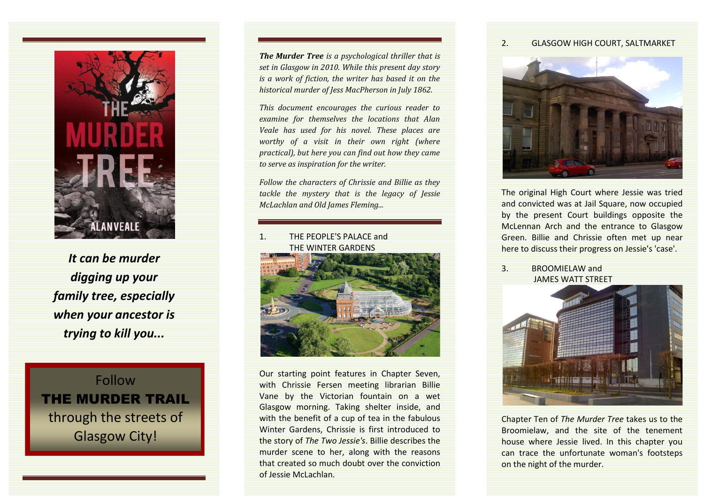

*It can be murder digging up your family tree, especially when your ancestor is trying to kill you...*

Follow THE MURDER TRAIL through the streets of Glasgow City!

*The Murder Tree is a psychological thriller that is set in Glasgow in 2010. While this present day story is a work of fiction, the writer has based it on the historical murder of Jess MacPherson in July 1862.*

*This document encourages the curious reader to examine for themselves the locations that Alan Veale has used for his novel. These places are worthy of a visit in their own right (where practical), but here you can find out how they came to serve as inspiration for the writer.* 

*Follow the characters of Chrissie and Billie as they tackle the mystery that is the legacy of Jessie McLachlan and Old James Fleming...*

### 1. THE PEOPLE'S PALACE and THE WINTER GARDENS



Our starting point features in Chapter Seven, with Chrissie Fersen meeting librarian Billie Vane by the Victorian fountain on a wet Glasgow morning. Taking shelter inside, and with the benefit of a cup of tea in the fabulous Winter Gardens, Chrissie is first introduced to the story of *The Two Jessie's*. Billie describes the murder scene to her, along with the reasons that created so much doubt over the conviction of Jessie McLachlan.

# 2. GLASGOW HIGH COURT, SALTMARKET



The original High Court where Jessie was tried and convicted was at Jail Square, now occupied by the present Court buildings opposite the McLennan Arch and the entrance to Glasgow Green. Billie and Chrissie often met up near here to discuss their progress on Jessie's 'case'.

3. BROOMIELAW and JAMES WATT STREET



Chapter Ten of *The Murder Tree* takes us to the Broomielaw, and the site of the tenement house where Jessie lived. In this chapter you can trace the unfortunate woman's footsteps on the night of the murder.